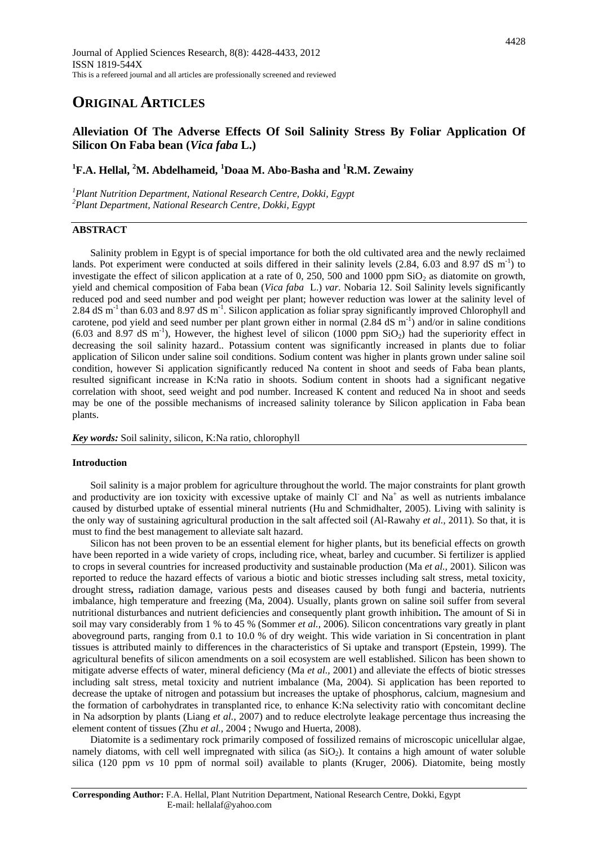# **ORIGINAL ARTICLES**

## **Alleviation Of The Adverse Effects Of Soil Salinity Stress By Foliar Application Of Silicon On Faba bean (***Vica faba* **L.)**

## <sup>1</sup>F.A. Hellal, <sup>2</sup>M. Abdelhameid, <sup>1</sup>Doaa M. Abo-Basha and <sup>1</sup>R.M. Zewainy

*1 Plant Nutrition Department, National Research Centre, Dokki, Egypt <sup>2</sup> Plant Department, National Research Centre, Dokki, Egypt*

## **ABSTRACT**

Salinity problem in Egypt is of special importance for both the old cultivated area and the newly reclaimed lands. Pot experiment were conducted at soils differed in their [salinity](http://www.scialert.net/asci/result.php?searchin=Keywords&cat=&ascicat=ALL&Submit=Search&keyword=soil+salinity) levels (2.84, 6.03 and 8.97 dS m<sup>-1</sup>) to investigate the effect of silicon application at a rate of 0, 250, 500 and 1000 ppm  $SiO<sub>2</sub>$  as diatomite on growth, yield and chemical composition of Faba bean (*[Vica faba](http://www.scialert.net/asci/result.php?searchin=Keywords&cat=&ascicat=ALL&Submit=Search&keyword=Triticum+aestivum)* L.) *var.* Nobaria 12. Soil Salinity levels significantly reduced pod and seed number and pod weight per plant; however reduction was lower at the salinity level of 2.84 dS  $\text{m}$ <sup>-1</sup> than 6.03 and 8.97 dS  $\text{m}$ <sup>-1</sup>. Silicon application as foliar spray significantly improved Chlorophyll and carotene, pod yield and seed number per plant grown either in normal  $(2.84 \text{ dS m}^{-1})$  and/or in saline conditions  $(6.03 \text{ and } 8.97 \text{ dS m}^{-1})$ , However, the highest level of silicon  $(1000 \text{ ppm SiO}_2)$  had the superiority effect in decreasing the soil salinity hazard.. Potassium content was significantly increased in plants due to foliar application of Silicon under saline soil conditions. Sodium content was higher in plants grown under saline soil condition, however Si application significantly reduced Na content in shoot and seeds of Faba bean plants, resulted significant increase in K:Na ratio in shoots. Sodium content in shoots had a significant negative correlation with shoot, seed weight and pod number. Increased K content and reduced Na in shoot and seeds may be one of the possible mechanisms of increased salinity tolerance by Silicon application in Faba bean plants.

*Key words:* Soil salinity, silicon, K:Na ratio, chlorophyll

## **Introduction**

Soil salinity is a major problem for agriculture throughout the world. The major constraints for plant growth and productivity are ion toxicity with excessive uptake of mainly  $CI^-$  and  $Na^+$  as well as nutrients imbalance caused by disturbed uptake of essential mineral nutrients (Hu and Schmidhalter, 2005). Living with salinity is the only way of sustaining agricultural production in the salt affected soil (Al-Rawahy *et al.,* 2011). So that, it is must to find the best management to alleviate salt hazard.

Silicon has not been proven to be an essential element for higher plants, but its beneficial effects on growth have been reported in a wide variety of crops, including rice, wheat, barley and cucumber. Si fertilizer is applied to crops in several countries for increased productivity and sustainable production (Ma *et al.,* 2001). Silicon was reported to reduce the hazard effects of various a biotic and biotic stresses including salt stress, metal toxicity, [drought stress](http://www.scialert.net/asci/result.php?searchin=Keywords&cat=&ascicat=ALL&Submit=Search&keyword=drought+stress)**,** radiation damage, various pests and diseases caused by both fungi and bacteria, nutrients imbalance, [high temperature](http://www.scialert.net/asci/result.php?searchin=Keywords&cat=&ascicat=ALL&Submit=Search&keyword=high+temperature) and freezing (Ma, 2004). Usually, plants grown on saline soil suffer from several nutritional disturbances and nutrient deficiencies and consequently plant [growth inhibition](http://www.scialert.net/asci/result.php?searchin=Keywords&cat=&ascicat=ALL&Submit=Search&keyword=growth+inhibition)**.** The amount of Si in soil may vary considerably from 1 % to 45 % (Sommer *et al.,* 2006). Silicon concentrations vary greatly in plant aboveground parts, ranging from 0.1 to 10.0 % of dry weight. This wide variation in Si concentration in plant tissues is attributed mainly to differences in the characteristics of Si uptake and transport (Epstein, 1999). The agricultural benefits of silicon amendments on a soil ecosystem are well established. Silicon has been shown to mitigate adverse effects of water, mineral deficiency (Ma *et al.,* 2001) and alleviate the effects of biotic stresses including salt stress, metal toxicity and nutrient imbalance (Ma, 2004). Si application has been reported to decrease the uptake of nitrogen and potassium but increases the uptake of phosphorus, calcium, magnesium and the formation of carbohydrates in transplanted rice, to enhance K:Na selectivity ratio with concomitant decline in Na adsorption by plants (Liang *et al.*, 2007) and to reduce electrolyte leakage percentage thus increasing the element content of tissues (Zhu *et al.,* 2004 ; Nwugo and Huerta, 2008).

Diatomite is a sedimentary rock primarily composed of fossilized remains of microscopic unicellular algae, namely diatoms, with cell well impregnated with silica (as  $SiO<sub>2</sub>$ ). It contains a high amount of water soluble silica (120 ppm *vs* 10 ppm of normal soil) available to plants (Kruger, 2006). Diatomite, being mostly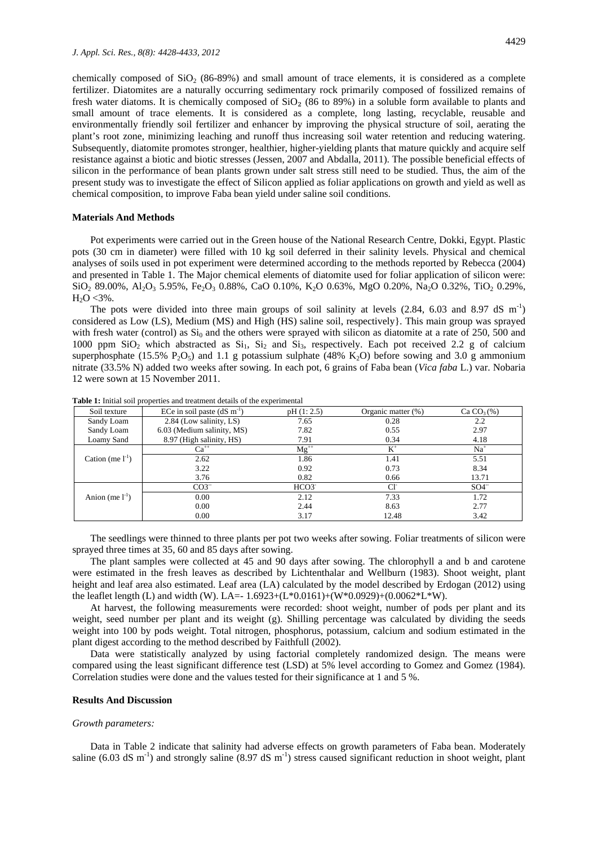chemically composed of  $SiO<sub>2</sub>$  (86-89%) and small amount of trace elements, it is considered as a complete fertilizer. Diatomites are a naturally occurring sedimentary rock primarily composed of fossilized remains of fresh water diatoms. It is chemically composed of  $SiO<sub>2</sub>$  (86 to 89%) in a soluble form available to plants and small amount of trace elements. It is considered as a complete, long lasting, recyclable, reusable and environmentally friendly soil fertilizer and enhancer by improving the physical structure of soil, aerating the plant's root zone, minimizing leaching and runoff thus increasing soil water retention and reducing watering. Subsequently, diatomite promotes stronger, healthier, higher-yielding plants that mature quickly and acquire self resistance against a biotic and biotic stresses (Jessen, 2007 and Abdalla, 2011). The possible beneficial effects of silicon in the performance of bean plants grown under salt stress still need to be studied. Thus, the aim of the present study was to investigate the effect of Silicon applied as foliar applications on growth and yield as well as [chemical composition,](http://www.scialert.net/asci/result.php?searchin=Keywords&cat=&ascicat=ALL&Submit=Search&keyword=chemical+composition) to improve Faba bean yield under saline soil conditions.

## **Materials And Methods**

Pot experiments were carried out in the Green house of the National Research Centre, Dokki, Egypt. Plastic pots (30 cm in diameter) were filled with 10 kg soil deferred in their salinity levels. Physical and chemical analyses of soils used in pot experiment were determined according to the methods reported by Rebecca (2004) and presented in Table 1. The Major chemical elements of diatomite used for foliar application of silicon were:  $\rm SiO_2$  89.00%, Al<sub>2</sub>O<sub>3</sub> 5.95%, Fe<sub>2</sub>O<sub>3</sub> 0.88%, CaO 0.10%, K<sub>2</sub>O 0.63%, MgO 0.20%, Na<sub>2</sub>O 0.32%, TiO<sub>2</sub> 0.29%,  $H_2O < 3\%$ .

The pots were divided into three main groups of soil salinity at levels  $(2.84, 6.03 \text{ and } 8.97 \text{ dS m}^{-1})$ considered as Low (LS), Medium (MS) and High (HS) saline soil, respectively}. This main group was sprayed with fresh water (control) as  $Si<sub>0</sub>$  and the others were sprayed with silicon as diatomite at a rate of 250, 500 and 1000 ppm  $SiO<sub>2</sub>$  which abstracted as  $Si<sub>1</sub>$ ,  $Si<sub>2</sub>$  and  $Si<sub>3</sub>$ , respectively. Each pot received 2.2 g of calcium superphosphate (15.5%  $P_2O_5$ ) and 1.1 g potassium sulphate (48% K<sub>2</sub>O) before sowing and 3.0 g ammonium nitrate (33.5% N) added two weeks after sowing. In each pot, 6 grains of Faba bean (*[Vica](http://www.scialert.net/asci/result.php?searchin=Keywords&cat=&ascicat=ALL&Submit=Search&keyword=Triticum+aestivum) faba* L.) var. Nobaria 12 were sown at 15 November 2011.

| Soil texture          | ECe in soil paste $(dS \, m^{-1})$ | pH(1:2.5) | Organic matter $(\%)$ | Ca $CO3(\%)$ |
|-----------------------|------------------------------------|-----------|-----------------------|--------------|
| Sandy Loam            | 2.84 (Low salinity, LS)            | 7.65      | 0.28                  | 2.2          |
| Sandy Loam            | 6.03 (Medium salinity, MS)         | 7.82      | 0.55                  | 2.97         |
| Loamy Sand            | 8.97 (High salinity, HS)           | 7.91      | 0.34                  | 4.18         |
|                       | $Ca^{++}$                          | $Mg^{++}$ | $K^+$                 | $Na+$        |
| Cation (me $l^{-1}$ ) | 2.62                               | 1.86      | 1.41                  | 5.51         |
|                       | 3.22                               | 0.92      | 0.73                  | 8.34         |
|                       | 3.76                               | 0.82      | 0.66                  | 13.71        |
|                       | $CO3^{-}$                          | $HCO3^-$  | CF                    | $SO4^-$      |
| Anion (me $1^{-1}$ )  | 0.00                               | 2.12      | 7.33                  | 1.72         |
|                       | 0.00                               | 2.44      | 8.63                  | 2.77         |
|                       | 0.00                               | 3.17      | 12.48                 | 3.42         |

**Table 1:** Initial soil properties and treatment details of the experimental

The seedlings were thinned to three plants per pot two weeks after sowing. Foliar treatments of silicon were sprayed three times at 35, 60 and 85 days after sowing.

The plant samples were collected at 45 and 90 days after sowing. The chlorophyll a and b and carotene were estimated in the fresh leaves as described by Lichtenthalar and Wellburn (1983). Shoot weight, plant height and leaf area also estimated. Leaf area (LA) calculated by the model described by Erdogan (2012) using the leaflet length (L) and width (W). LA=-  $1.6923+(L*0.0161)+(W*0.0929)+(0.0062*L*W)$ .

At harvest, the following measurements were recorded: shoot weight, number of pods per plant and its weight, seed number per plant and its weight (g). Shilling percentage was calculated by dividing the seeds weight into 100 by pods weight. Total nitrogen, phosphorus, potassium, calcium and sodium estimated in the plant digest according to the method described by Faithfull (2002).

Data were statistically analyzed by using factorial completely randomized design. The means were compared using the least significant difference test (LSD) at 5% level according to Gomez and Gomez (1984). Correlation studies were done and the values tested for their significance at 1 and 5 %.

#### **Results And Discussion**

#### *Growth parameters:*

Data in Table 2 indicate that salinity had adverse effects on growth parameters of Faba bean. Moderately saline (6.03 dS m<sup>-1</sup>) and strongly saline (8.97 dS m<sup>-1</sup>) stress caused significant reduction in shoot weight, plant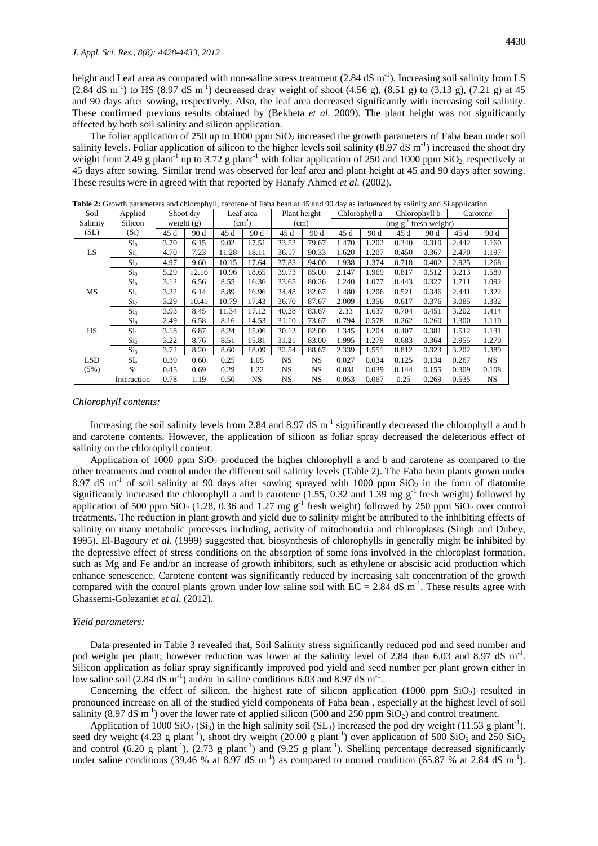height and Leaf area as compared with non-saline stress treatment  $(2.84 \text{ dS m}^{-1})$ . Increasing soil salinity from LS  $(2.84 \text{ dS m}^{-1})$  to HS  $(8.97 \text{ dS m}^{-1})$  decreased dray weight of shoot  $(4.56 \text{ g})$ ,  $(8.51 \text{ g})$  to  $(3.13 \text{ g})$ ,  $(7.21 \text{ g})$  at 45 and 90 days after sowing, respectively. Also, the leaf area decreased significantly with increasing soil salinity. These confirmed previous results obtained by (Bekheta *et al.* 2009). The plant height was not significantly affected by both soil salinity and silicon application.

The foliar application of 250 up to 1000 ppm  $SiO<sub>2</sub>$  increased the growth parameters of Faba bean under soil salinity levels. Foliar application of silicon to the higher levels soil salinity  $(8.97 \text{ dS m}^{-1})$  increased the shoot dry weight from 2.49 g plant<sup>-1</sup> up to 3.72 g plant<sup>-1</sup> with foliar application of 250 and 1000 ppm  $SiO<sub>2</sub>$  respectively at 45 days after sowing. Similar trend was observed for leaf area and plant height at 45 and 90 days after sowing. These results were in agreed with that reported by Hanafy Ahmed *et al.* (2002).

| Soil      | Applied         | Shoot dry    |       | Leaf area          |           | Plant height |           | Chlorophyll a              |       | Chlorophyll b |       | Carotene |       |  |
|-----------|-----------------|--------------|-------|--------------------|-----------|--------------|-----------|----------------------------|-------|---------------|-------|----------|-------|--|
| Salinity  | Silicon         | weight $(g)$ |       | (cm <sup>2</sup> ) |           | (cm)         |           | $(mg g^{-1}$ fresh weight) |       |               |       |          |       |  |
| (SL)      | $(S_i)$         | 45 d         | 90 d  | 45 d               | 90 d      | 45 d         | 90 d      | 45 d                       | 90d   | 45 d          | 90 d  | 45 d     | 90 d  |  |
|           | Si <sub>0</sub> | 3.70         | 6.15  | 9.02               | 17.51     | 33.52        | 79.67     | 1.470                      | 1.202 | 0.340         | 0.310 | 2.442    | 1.160 |  |
| LS.       | Si <sub>1</sub> | 4.70         | 7.23  | 11.28              | 18.11     | 36.17        | 90.33     | 1.620                      | 1.207 | 0.450         | 0.367 | 2.470    | 1.197 |  |
|           | $\mathrm{Si}_2$ | 4.97         | 9.60  | 10.15              | 17.64     | 37.83        | 94.00     | 1.938                      | 1.374 | 0.718         | 0.402 | 2.925    | 1.268 |  |
|           | $\mathrm{Si}_3$ | 5.29         | 12.16 | 10.96              | 18.65     | 39.73        | 85.00     | 2.147                      | 1.969 | 0.817         | 0.512 | 3.213    | 1.589 |  |
|           | Si <sub>0</sub> | 3.12         | 6.56  | 8.55               | 16.36     | 33.65        | 80.26     | 1.240                      | 1.077 | 0.443         | 0.327 | 1.711    | 1.092 |  |
| MS        | $\mathrm{Si}_1$ | 3.32         | 6.14  | 8.89               | 16.96     | 34.48        | 82.67     | 1.480                      | 1.206 | 0.521         | 0.346 | 2.441    | 1.322 |  |
|           | Si <sub>2</sub> | 3.29         | 10.41 | 10.79              | 17.43     | 36.70        | 87.67     | 2.009                      | 1.356 | 0.617         | 0.376 | 3.085    | 1.332 |  |
|           | Si <sub>3</sub> | 3.93         | 8.45  | 11.34              | 17.12     | 40.28        | 83.67     | 2.33                       | 1.637 | 0.704         | 0.451 | 3.202    | 1.414 |  |
|           | Si <sub>0</sub> | 2.49         | 6.58  | 8.16               | 14.53     | 31.10        | 73.67     | 0.794                      | 0.578 | 0.262         | 0.260 | 1.300    | 1.110 |  |
| <b>HS</b> | Si <sub>1</sub> | 3.18         | 6.87  | 8.24               | 15.06     | 30.13        | 82.00     | 1.345                      | 1.204 | 0.407         | 0.381 | 1.512    | 1.131 |  |
|           | $\mathrm{Si}_2$ | 3.22         | 8.76  | 8.51               | 15.81     | 31.21        | 83.00     | 1.995                      | 1.279 | 0.683         | 0.364 | 2.955    | 1.270 |  |
|           | Si <sub>3</sub> | 3.72         | 8.20  | 8.60               | 18.09     | 32.54        | 88.67     | 2.339                      | 1.551 | 0.812         | 0.323 | 3.202    | 1.389 |  |
| LSD.      | SL              | 0.39         | 0.60  | 0.25               | 1.05      | <b>NS</b>    | NS.       | 0.027                      | 0.034 | 0.125         | 0.134 | 0.267    | NS.   |  |
| (5%)      | Si              | 0.45         | 0.69  | 0.29               | 1.22      | NS           | <b>NS</b> | 0.031                      | 0.039 | 0.144         | 0.155 | 0.309    | 0.108 |  |
|           | Interaction     | 0.78         | 1.19  | 0.50               | <b>NS</b> | <b>NS</b>    | <b>NS</b> | 0.053                      | 0.067 | 0.25          | 0.269 | 0.535    | NS.   |  |

**Table 2:** Growth parameters and chlorophyll, carotene of Faba bean at 45 and 90 day as influenced by salinity and Si application

#### *Chlorophyll contents:*

Increasing the soil salinity levels from 2.84 and 8.97 dS  $m^{-1}$  significantly decreased the chlorophyll a and b and carotene contents. However, the application of silicon as foliar spray decreased the deleterious effect of salinity on the chlorophyll content.

Application of 1000 ppm  $SiO<sub>2</sub>$  produced the higher chlorophyll a and b and carotene as compared to the other treatments and control under the different soil salinity levels (Table 2). The Faba bean plants grown under 8.97 dS  $m^{-1}$  of soil salinity at 90 days after sowing sprayed with 1000 ppm  $SiO<sub>2</sub>$  in the form of diatomite significantly increased the chlorophyll a and b carotene (1.55, 0.32 and 1.39 mg  $g^{-1}$  fresh weight) followed by application of 500 ppm SiO<sub>2</sub> (1.28, 0.36 and 1.27 mg g<sup>-1</sup> fresh weight) followed by 250 ppm SiO<sub>2</sub> over control treatments. The reduction in plant growth and yield due to salinity might be attributed to the inhibiting effects of salinity on many metabolic processes including, activity of mitochondria and chloroplasts (Singh and Dubey, 1995). El-Bagoury *et al.* (1999) suggested that, biosynthesis of chlorophylls in generally might be inhibited by the depressive effect of stress conditions on the absorption of some ions involved in the chloroplast formation, such as Mg and Fe and/or an increase of growth inhibitors, such as ethylene or abscisic acid production which enhance senescence. Carotene content was significantly reduced by increasing salt concentration of the growth compared with the control plants grown under low saline soil with  $EC = 2.84$  dS m<sup>-1</sup>. These results agree with Ghassemi-Golezaniet *et al.* (2012).

#### *Yield parameters:*

Data presented in Table 3 revealed that, Soil Salinity stress significantly reduced pod and seed number and pod weight per plant; however reduction was lower at the salinity level of 2.84 than 6.03 and 8.97 dS m<sup>-1</sup>. Silicon application as foliar spray significantly improved pod yield and seed number per plant grown either in low saline soil  $(2.84 \text{ dS m}^{-1})$  and/or in saline conditions 6.03 and 8.97 dS m<sup>-1</sup>.

Concerning the effect of silicon, the highest rate of silicon application  $(1000 \text{ ppm} \text{ SiO}_2)$  resulted in pronounced increase on all of the studied [yield components](http://www.scialert.net/asci/result.php?searchin=Keywords&cat=&ascicat=ALL&Submit=Search&keyword=yield+components) of Faba bean , especially at the highest level of [soil](http://www.scialert.net/asci/result.php?searchin=Keywords&cat=&ascicat=ALL&Submit=Search&keyword=soil+salinity)  [salinity](http://www.scialert.net/asci/result.php?searchin=Keywords&cat=&ascicat=ALL&Submit=Search&keyword=soil+salinity) (8.97 dS m<sup>-1</sup>) over the lower rate of applied silicon (500 and 250 ppm  $SiO_2$ ) and control treatment.

Application of 1000 SiO<sub>2</sub> (Si<sub>3</sub>) in the high salinity soil (SL<sub>3</sub>) increased the pod dry weight (11.53 g plant<sup>-1</sup>), seed dry weight (4.23 g plant<sup>-1</sup>), shoot dry weight (20.00 g plant<sup>-1</sup>) over application of 500 SiO<sub>2</sub> and 250 SiO<sub>2</sub> and control  $(6.20 \text{ g plant}^{-1})$ ,  $(2.73 \text{ g plant}^{-1})$  and  $(9.25 \text{ g plant}^{-1})$ . Shelling percentage decreased significantly under saline conditions (39.46 % at  $8.97$  dS m<sup>-1</sup>) as compared to normal condition (65.87 % at 2.84 dS m<sup>-1</sup>).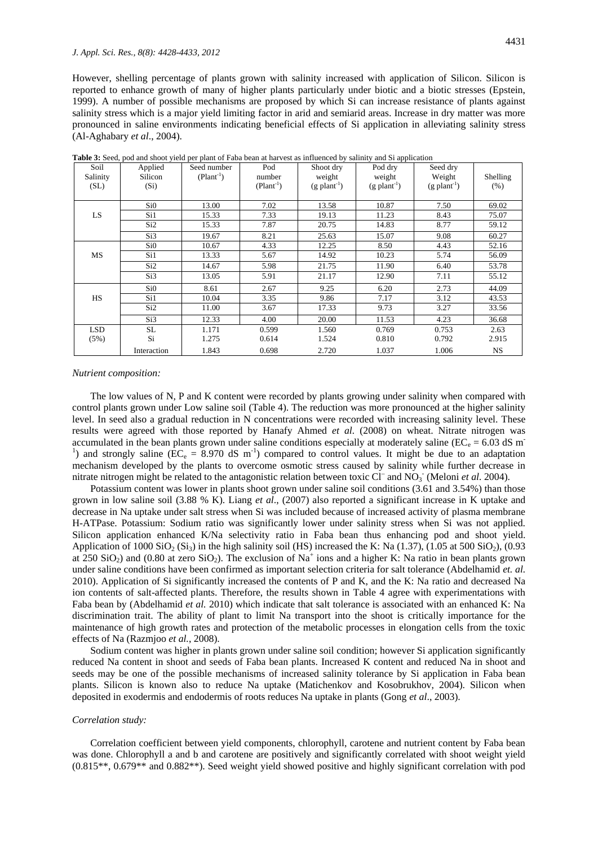However, shelling percentage of plants grown with salinity increased with application of Silicon. Silicon is reported to enhance growth of many of higher plants particularly under biotic and a biotic stresses (Epstein, 1999). A number of possible mechanisms are proposed by which Si can increase resistance of plants against salinity stress which is a major yield limiting factor in arid and semiarid areas. Increase in dry matter was more pronounced in saline environments indicating beneficial effects of Si application in alleviating salinity stress (Al-Aghabary *et al*., 2004).

| Soil<br>Salinity<br>(SL) | Applied<br>Silicon<br>$(S_i)$ | Seed number<br>$(Plant-1)$ | Pod<br>number<br>$(Plant-1)$ | Shoot dry<br>weight<br>$(g$ plant <sup>-1</sup> ) | Pod dry<br>weight<br>$(g$ plant <sup>-1</sup> ) | Seed dry<br>Weight<br>$(g$ plant <sup>-1</sup> ) | Shelling<br>(% ) |
|--------------------------|-------------------------------|----------------------------|------------------------------|---------------------------------------------------|-------------------------------------------------|--------------------------------------------------|------------------|
|                          | Si0                           | 13.00                      | 7.02                         | 13.58                                             | 10.87                                           | 7.50                                             | 69.02            |
| LS                       | Si1                           | 15.33                      | 7.33                         | 19.13                                             | 11.23                                           | 8.43                                             | 75.07            |
|                          | Si <sub>2</sub>               | 15.33                      | 7.87                         | 20.75                                             | 14.83                                           | 8.77                                             | 59.12            |
|                          | Si3                           | 19.67                      | 8.21                         | 25.63                                             | 15.07                                           | 9.08                                             | 60.27            |
|                          | Si0                           | 10.67                      | 4.33                         | 12.25                                             | 8.50                                            | 4.43                                             | 52.16            |
| MS                       | Si1                           | 13.33                      | 5.67                         | 14.92                                             | 10.23                                           | 5.74                                             | 56.09            |
|                          | Si <sub>2</sub>               | 14.67                      | 5.98                         | 21.75                                             | 11.90                                           | 6.40                                             | 53.78            |
|                          | Si3                           | 13.05                      | 5.91                         | 21.17                                             | 12.90                                           | 7.11                                             | 55.12            |
|                          | Si0                           | 8.61                       | 2.67                         | 9.25                                              | 6.20                                            | 2.73                                             | 44.09            |
| HS                       | Si1                           | 10.04                      | 3.35                         | 9.86                                              | 7.17                                            | 3.12                                             | 43.53            |
|                          | Si <sub>2</sub>               | 11.00                      | 3.67                         | 17.33                                             | 9.73                                            | 3.27                                             | 33.56            |
|                          | Si3                           | 12.33                      | 4.00                         | 20.00                                             | 11.53                                           | 4.23                                             | 36.68            |
| <b>LSD</b>               | SL                            | 1.171                      | 0.599                        | 1.560                                             | 0.769                                           | 0.753                                            | 2.63             |
| (5%)                     | Si                            | 1.275                      | 0.614                        | 1.524                                             | 0.810                                           | 0.792                                            | 2.915            |
|                          | Interaction                   | 1.843                      | 0.698                        | 2.720                                             | 1.037                                           | 1.006                                            | NS.              |

**Table 3:** Seed, pod and shoot yield per plant of Faba bean at harvest as influenced by salinity and Si application

#### *Nutrient composition:*

The low values of N, P and K content were recorded by plants growing under salinity when compared with control plants grown under Low saline soil (Table 4). The reduction was more pronounced at the higher salinity level. In seed also a gradual reduction in N concentrations were recorded with increasing salinity level. These results were agreed with those reported by Hanafy Ahmed *et al.* (2008) on wheat. Nitrate nitrogen was accumulated in the bean plants grown under saline conditions especially at moderately saline ( $EC_e = 6.03$  dS m<sup>-</sup> <sup>1</sup>) and strongly saline ( $\overline{EC}_e = 8.970$  dS m<sup>-1</sup>) compared to control values. It might be due to an adaptation mechanism developed by the plants to overcome osmotic stress caused by salinity while further decrease in nitrate nitrogen might be related to the antagonistic relation between toxic Cl<sup>-</sup> and NO<sub>3</sub> (Meloni *et al.* 2004).

Potassium content was lower in plants shoot grown under saline soil conditions (3.61 and 3.54%) than those grown in low saline soil (3.88 % K). Liang *et al*., (2007) also reported a significant increase in K uptake and decrease in Na uptake under salt stress when Si was included because of increased activity of plasma membrane H-ATPase. Potassium: Sodium ratio was significantly lower under salinity stress when Si was not applied. Silicon application enhanced K/Na selectivity ratio in Faba bean thus enhancing pod and shoot yield. Application of 1000 SiO<sub>2</sub> (Si<sub>3</sub>) in the high salinity soil (HS) increased the K: Na (1.37), (1.05 at 500 SiO<sub>2</sub>), (0.93 at 250 SiO<sub>2</sub>) and (0.80 at zero SiO<sub>2</sub>). The exclusion of Na<sup>+</sup> ions and a higher K: Na ratio in bean plants grown under saline conditions have been confirmed as important selection criteria for salt tolerance (Abdelhamid *et. al.* 2010). Application of Si significantly increased the contents of P and K, and the K: Na ratio and decreased Na ion contents of salt-affected plants. Therefore, the results shown in Table 4 agree with experimentations with Faba bean by (Abdelhamid *et al.* 2010) which indicate that salt tolerance is associated with an enhanced K: Na discrimination trait. The ability of plant to limit Na transport into the shoot is critically importance for the maintenance of high growth rates and protection of the metabolic processes in elongation cells from the toxic effects of Na (Razmjoo *et al.*, 2008).

Sodium content was higher in plants grown under saline soil condition; however Si application significantly reduced Na content in shoot and seeds of Faba bean plants. Increased K content and reduced Na in shoot and seeds may be one of the possible mechanisms of increased salinity tolerance by Si application in Faba bean plants. Silicon is known also to reduce Na uptake (Matichenkov and Kosobrukhov, 2004). Silicon when deposited in exodermis and endodermis of roots reduces Na uptake in plants (Gong *et al*., 2003).

### *Correlation study:*

Correlation coefficient between yield components, chlorophyll, carotene and nutrient content by Faba bean was done. Chlorophyll a and b and carotene are positively and significantly correlated with shoot weight yield (0.815\*\*, 0.679\*\* and 0.882\*\*). Seed weight yield showed positive and highly significant correlation with pod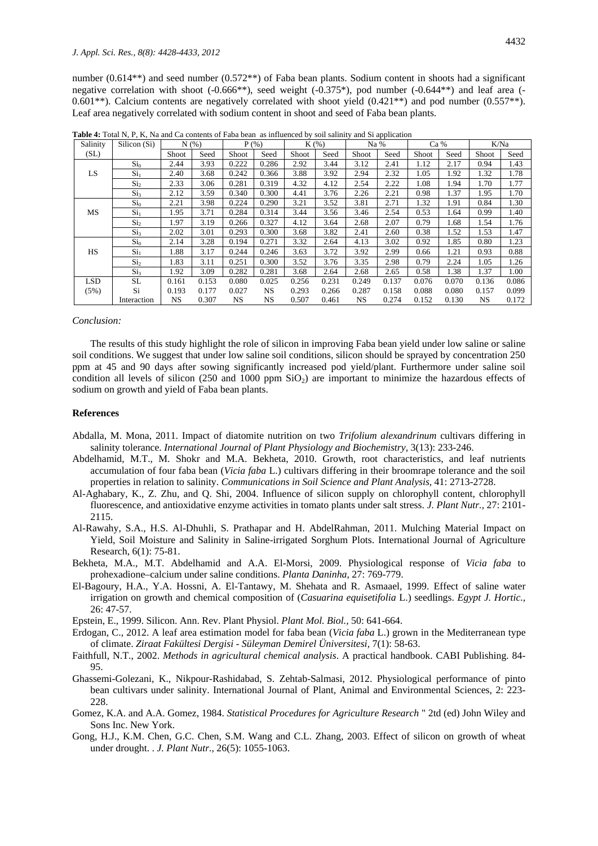number (0.614<sup>\*\*</sup>) and seed number (0.572<sup>\*\*</sup>) of Faba bean plants. Sodium content in shoots had a significant negative correlation with shoot (-0.666\*\*), seed weight (-0.375\*), pod number (-0.644\*\*) and leaf area (- 0.601\*\*). Calcium contents are negatively correlated with shoot yield  $(0.421**)$  and pod number  $(0.557**)$ . Leaf area negatively correlated with sodium content in shoot and seed of Faba bean plants.

| Salinity | Silicon (Si)    | $N$ $(\%)$ |       | $P$ (%)   |       | $K(\%)$ |       | Na %      |       | Ca %  |       | K/Na      |       |
|----------|-----------------|------------|-------|-----------|-------|---------|-------|-----------|-------|-------|-------|-----------|-------|
| (SL)     |                 | Shoot      | Seed  | Shoot     | Seed  | Shoot   | Seed  | Shoot     | Seed  | Shoot | Seed  | Shoot     | Seed  |
|          | Si <sub>0</sub> | 2.44       | 3.93  | 0.222     | 0.286 | 2.92    | 3.44  | 3.12      | 2.41  | 1.12  | 2.17  | 0.94      | 1.43  |
| LS.      | Si <sub>1</sub> | 2.40       | 3.68  | 0.242     | 0.366 | 3.88    | 3.92  | 2.94      | 2.32  | 1.05  | 1.92  | 1.32      | 1.78  |
|          | Si <sub>2</sub> | 2.33       | 3.06  | 0.281     | 0.319 | 4.32    | 4.12  | 2.54      | 2.22  | 1.08  | 1.94  | 1.70      | 1.77  |
|          | Si <sub>3</sub> | 2.12       | 3.59  | 0.340     | 0.300 | 4.41    | 3.76  | 2.26      | 2.21  | 0.98  | 1.37  | 1.95      | 1.70  |
|          | Si <sub>0</sub> | 2.21       | 3.98  | 0.224     | 0.290 | 3.21    | 3.52  | 3.81      | 2.71  | 1.32  | 1.91  | 0.84      | 1.30  |
| MS       | Si <sub>1</sub> | 1.95       | 3.71  | 0.284     | 0.314 | 3.44    | 3.56  | 3.46      | 2.54  | 0.53  | 1.64  | 0.99      | 1.40  |
|          | Si <sub>2</sub> | 1.97       | 3.19  | 0.266     | 0.327 | 4.12    | 3.64  | 2.68      | 2.07  | 0.79  | 1.68  | 1.54      | 1.76  |
|          | Si <sub>3</sub> | 2.02       | 3.01  | 0.293     | 0.300 | 3.68    | 3.82  | 2.41      | 2.60  | 0.38  | 1.52  | 1.53      | 1.47  |
|          | Si <sub>0</sub> | 2.14       | 3.28  | 0.194     | 0.271 | 3.32    | 2.64  | 4.13      | 3.02  | 0.92  | 1.85  | 0.80      | 1.23  |
| HS       | Si <sub>1</sub> | 1.88       | 3.17  | 0.244     | 0.246 | 3.63    | 3.72  | 3.92      | 2.99  | 0.66  | 1.21  | 0.93      | 0.88  |
|          | Si <sub>2</sub> | 1.83       | 3.11  | 0.251     | 0.300 | 3.52    | 3.76  | 3.35      | 2.98  | 0.79  | 2.24  | 1.05      | 1.26  |
|          | Si <sub>3</sub> | 1.92       | 3.09  | 0.282     | 0.281 | 3.68    | 2.64  | 2.68      | 2.65  | 0.58  | 1.38  | 1.37      | 1.00  |
| LSD      | SL.             | 0.161      | 0.153 | 0.080     | 0.025 | 0.256   | 0.231 | 0.249     | 0.137 | 0.076 | 0.070 | 0.136     | 0.086 |
| (5%)     | Si              | 0.193      | 0.177 | 0.027     | NS.   | 0.293   | 0.266 | 0.287     | 0.158 | 0.088 | 0.080 | 0.157     | 0.099 |
|          | Interaction     | NS.        | 0.307 | <b>NS</b> | NS.   | 0.507   | 0.461 | <b>NS</b> | 0.274 | 0.152 | 0.130 | <b>NS</b> | 0.172 |

**Table 4:** Total N, P, K, Na and Ca contents of Faba bean as influenced by soil salinity and Si application

#### *Conclusion:*

The results of this study highlight the role of silicon in improving Faba bean yield under low saline or saline soil conditions. We suggest that under low saline soil conditions, silicon should be sprayed by concentration 250 ppm at 45 and 90 days after sowing significantly increased pod yield/plant. Furthermore under saline soil condition all levels of silicon (250 and 1000 ppm  $SiO<sub>2</sub>$ ) are important to minimize the hazardous effects of sodium on growth and yield of Faba bean plants.

## **References**

- Abdalla, M. Mona, 2011. Impact of diatomite nutrition on two *Trifolium alexandrinum* cultivars differing in salinity tolerance. *International Journal of Plant Physiology and Biochemistry,* 3(13): 233-246.
- Abdelhamid, M.T., M. Shokr and M.A. Bekheta, 2010. Growth, root characteristics, and leaf nutrients accumulation of four faba bean (*Vicia faba* L.) cultivars differing in their broomrape tolerance and the soil properties in relation to salinity. *Communications in Soil Science and Plant Analysis,* 41: 2713-2728.
- Al-Aghabary, K., Z. Zhu, and Q. Shi, 2004. Influence of silicon supply on chlorophyll content, chlorophyll fluorescence, and antioxidative enzyme activities in tomato plants under salt stress. *J. Plant Nutr.,* 27: 2101- 2115.
- Al-Rawahy, S.A., H.S. Al-Dhuhli, S. Prathapar and H. AbdelRahman, 2011. Mulching Material Impact on Yield, Soil Moisture and Salinity in Saline-irrigated Sorghum Plots. International Journal of Agriculture Research, 6(1): 75-81.
- Bekheta, M.A., M.T. Abdelhamid and A.A. El-Morsi, 2009. Physiological response of *Vicia faba* to prohexadione–calcium under saline conditions. *Planta Daninha*, 27: 769-779.
- El-Bagoury, H.A., Y.A. Hossni, A. El-Tantawy, M. Shehata and R. Asmaael, 1999. Effect of saline water irrigation on growth and chemical composition of (*Casuarina equisetifolia* L.) seedlings. *Egypt J. Hortic.,* 26: 47-57.
- Epstein, E., 1999. Silicon. Ann. Rev. Plant Physiol. *Plant Mol. Biol.,* 50: 641-664.
- [Erdogan, C.,](http://www.cabdirect.org/search.html?q=au%3A%22Erdog%CC%86an%2C+C.%22) 2012. A leaf area estimation model for faba bean (*Vicia faba* L.) grown in the Mediterranean type of climate. *Ziraat Fakültesi Dergisi - [Süleyman Demirel Üniversitesi,](http://www.cabdirect.org/search.html?q=do%3A%22Ziraat+Fak%C3%BCltesi+Dergisi+-+S%C3%BCleyman+Demirel+%C3%9Cniversitesi%22)* 7(1): 58-63.
- Faithfull, N.T., 2002. *Methods in agricultural chemical analysis*. A practical handbook. CABI Publishing. 84- 95.
- Ghassemi-Golezani, K., Nikpour-Rashidabad, S. Zehtab-Salmasi, 2012. Physiological performance of pinto bean cultivars under salinity. International Journal of Plant, Animal and Environmental Sciences, 2: 223- 228.
- Gomez, K.A. and A.A. Gomez, 1984. *Statistical Procedures for Agriculture Research* " 2td (ed) John Wiley and Sons Inc. New York.
- Gong, H.J., K.M. Chen, G.C. Chen, S.M. Wang and C.L. Zhang, 2003. Effect of silicon on growth of wheat under drought. . *J. Plant Nutr.,* 26(5): 1055-1063.